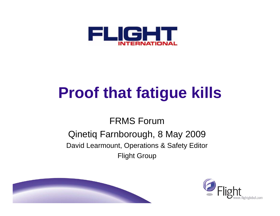

# **Proof that fatigue kills**

#### FRMS Forum

#### Qinetiq Farnborough, 8 May 2009 David Learmount, Operations & Safety Editor Flight Group



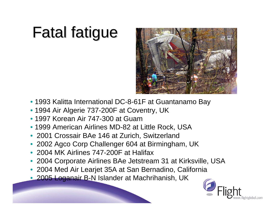# **Fatal fatigue**



- 1993 Kalitta International DC-8-61F at Guantanamo Bay
- 1994 Air Algerie 737-200F at Coventry, UK
- 1997 Korean Air 747-300 at Guam
- 1999 American Airlines MD-82 at Little Rock, USA
- 2001 Crossair BAe 146 at Zurich, Switzerland
- 2002 Agco Corp Challenger 604 at Birmingham, UK
- 2004 MK Airlines 747-200F at Halifax
- 2004 Corporate Airlines BAe Jetstream 31 at Kirksville, USA
- 2004 Med Air Learjet 35A at San Bernadino, California
- 2005 Loganair B-N Islander at Machrihanish, UK

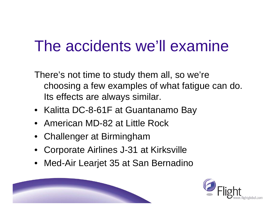### The accidents we'll examine

There's not time to study them all, so we're choosing a few examples of what fatigue can do. Its effects are always similar.

- Kalitta DC-8-61F at Guantanamo Bay
- American MD-82 at Little Rock
- Challenger at Birmingham
- •Corporate Airlines J-31 at Kirksville
- Med-Air Learjet 35 at San Bernadino

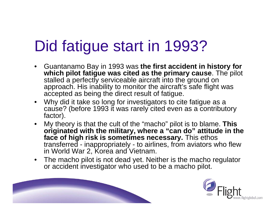# Did fatigue start in 1993?

- $\bullet$  Guantanamo Bay in 1993 was **the first accident in history for which pilot fatigue was cited as the primary cause**. The pilot stalled a perfectly serviceable aircraft into the ground on approach. His inability to monitor the aircraft's safe flight was accepted as being the direct result of fatigue.
- Why did it take so long for investigators to cite fatigue as a cause? (before 1993 it was rarely cited even as a contributory factor).
- $\bullet$  My theory is that the cult of the "macho" pilot is to blame. **This originated with the military, where a "can do" attitude in the face of high risk is sometimes necessary.** This ethos transferred - inappropriately - to airlines, from aviators who flew in World War 2, Korea and Vietnam.
- $\bullet$  The macho pilot is not dead yet. Neither is the macho regulator or accident investigator who used to be a macho pilot.

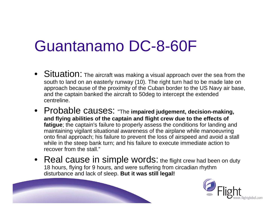### Guantanamo DC-8-60F

- $\bullet\;$  Situation: The aircraft was making a visual approach over the sea from the south to land on an easterly runway (10). The right turn had to be made late on approach because of the proximity of the Cuban border to the US Navy air base, and the captain banked the aircraft to 50deg to intercept the extended centreline.
- Probable causes: "The **impaired judgement, decision-making, and flying abilities of the captain and flight crew due to the effects of fatigue**; the captain's failure to properly assess the conditions for landing and maintaining vigilant situational awareness of the airplane while manoeuvring onto final approach; his failure to prevent the loss of airspeed and avoid a stall while in the steep bank turn; and his failure to execute immediate action to recover from the stall."
- Real cause in simple words: the flight crew had been on duty 18 hours, flying for 9 hours, and were suffering from circadian rhythm disturbance and lack of sleep. **But it was still legal!**

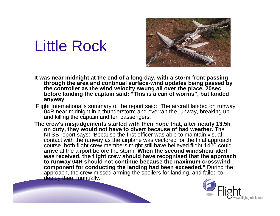### Little Rock



- **It was near midnight at the end of a long day, with a storm front passing through the area and continual surface-wind updates being passed by the controller as the wind velocity swung all over the place. 20sec before landing the captain said: "This is a can of worms", but landed anyway**
- Flight International's summary of the report said: "The aircraft landed on runway 04R near midnight in a thunderstorm and overran the runway, breaking up and killing the captain and ten passengers.
- **The crew's misjudgements started with their hope that, after nearly 13.5h on duty, they would not have to divert because of bad weather.** The NTSB report says: "Because the first officer was able to maintain visual contact with the runway as the airplane was vectored for the final approach course, both flight crew members might still have believed flight 1420 could arrive at the airport before the storm. **When the second windshear alert was received, the flight crew should have recognised that the approach to runway 04R should not continue because the maximum crosswind component for conducting the landing had been exceeded."** During the approach, the crew missed arming the spoilers for landing, and failed to deploy them manually.

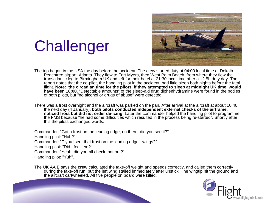## **Challenger**



The trip began in the USA the day before the accident. The crew started duty at 04:00 local time at Dekalb-Peachtree airport, Atlanta. They flew to Fort Myers, then West Palm Beach, from where they flew the transatlantic leg to Birmingham UK and left for their hotel at 21:30 local time after a 12.5h duty day. The report notes that the co-pilot, the handling pilot in the accident, had little sleep both nights before the fatal flight. **Note: the circadian time for the pilots, if they attempted to sleep at midnight UK time, would have been 18:00.** "Detectable amounts" of the sleep-aid drug diphenhydramine were found in the bodies of both pilots, but "no alcohol or drugs of abuse" were detected.

There was a frost overnight and the aircraft was parked on the pan. After arrival at the aircraft at about 10:40 the next day (4 January), **both pilots conducted independent external checks of the airframe, noticed frost but did not order de-icing. Later the commander helped the handling pilot to programme** the FMS because "he had some difficulties which resulted in the process being re-started". Shortly after this the pilots exchanged words:

Commander: "Got a frost on the leading edge, on there, did you see it?" Handling pilot: "Huh?" Commander: "D'you [see] that frost on the leading edge - wings?" Handling pilot: "Did I feel 'em?" Commander: "Yeah, did you-all check that out?" Handling pilot: "Yuh".

The UK AAIB says the **crew** calculated the take-off weight and speeds correctly, and called them correctly during the take-off run, but the left wing stalled immediately after unstick. The wingtip hit the ground and the aircraft cartwheeled. All five people on board were killed.

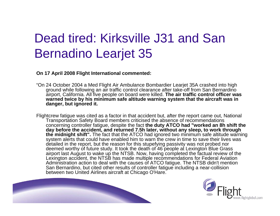#### Dead tired: Kirksville J31 and San Bernadino Learjet 35

**On 17 April 2008 Flight International commented:**

- "On 24 October 2004 a Med Flight Air Ambulance Bombardier Learjet 35A crashed into high ground while following an air traffic control clearance after take-off from San Bernardino airport, California. All five people on board were killed. **The air traffic control officer was warned twice by his minimum safe altitude warning system that the aircraft was in danger, but ignored it.**
- Flightcrew fatigue was cited as a factor in that accident but, after the report came out, National Transportation Safety Board members criticised the absence of recommendations concerning controller fatigue, despite the fact **the duty ATCO had "worked an 8h shift the day before the accident, and returned 7.5h later, without any sleep, to work through the midnight shift".** The fact that the ATCO had ignored two minimum safe altitude warning system alerts that could have enabled him to warn the crew in time to save their lives was detailed in the report, but the reason for this stupefying passivity was not probed nor deemed worthy of future study. It took the death of 46 people at Lexington Blue Grass airport last August to wake up the NTSB. Now, having completed the factual review of the Lexington accident, the NTSB has made multiple recommendations for Federal Aviation Administration action to deal with the causes of ATCO fatigue. The NTSB didn't mention San Bernardino, but cited other results of controller fatigue including a near-collision between two United Airlines aircraft at Chicago O'Hare.

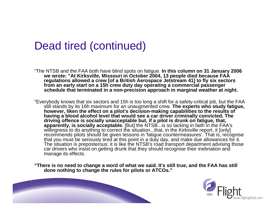#### Dead tired (continued)

"The NTSB and the FAA both have blind spots on fatigue. **In this column on 31 January 2006 we wrote: "At Kirksville, Missouri in October 2004, 13 people died because FAA regulations allowed a crew [of a British Aerospace Jetstream 41] to fly six sectors from an early start on a 15h crew duty day operating a commercial passenger schedule that terminated in a non-precision approach in marginal weather at night.**

"Everybody knows that six sectors and 15h is too long a shift for a safety-critical job, but the FAA still stands by its 16h maximum for an unaugmented crew. **The experts who study fatigue, however, liken the effect on a pilot's decision-making capabilities to the results of having a blood alcohol level that would see a car driver criminally convicted. The driving offence is socially unacceptable but, if a pilot is drunk on fatigue, that, apparently, is socially acceptable.** [But] the NTSB...is so lacking in faith in the FAA's willingness to do anything to correct the situation...that, in the Kirksville report, it [only] recommends pilots should be given lessons in 'fatigue countermeasures'. That is, recognise that you must be seriously tired at this point in a duty day, and make due allowances for it. The situation is preposterous: it is like the NTSB's road transport department advising those car drivers who insist on getting drunk that they should recognise their inebriation and manage its effects.

**"There is no need to change a word of what we said. It's still true, and the FAA has still done nothing to change the rules for pilots or ATCOs."**

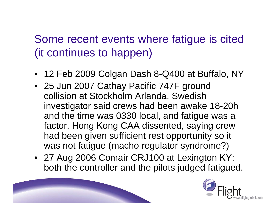#### Some recent events where fatigue is cited (it continues to happen)

- 12 Feb 2009 Colgan Dash 8-Q400 at Buffalo, NY
- 25 Jun 2007 Cathay Pacific 747F ground collision at Stockholm Arlanda. Swedish investigator said crews had been awake 18-20h and the time was 0330 local, and fatigue was a factor. Hong Kong CAA dissented, saying crew had been given sufficient rest opportunity so it was not fatigue (macho regulator syndrome?)
- 27 Aug 2006 Comair CRJ100 at Lexington KY: both the controller and the pilots judged fatigued.